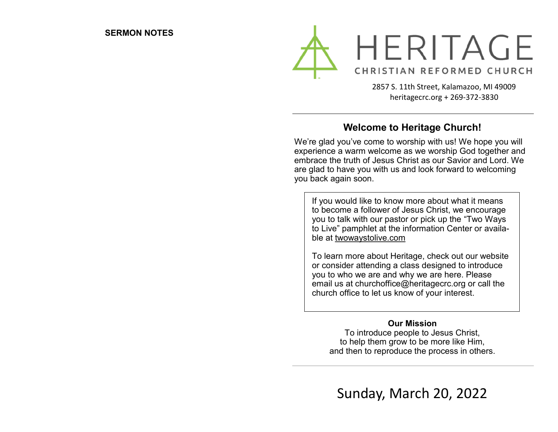

2857 S. 11th Street, Kalamazoo, MI 49009 heritagecrc.org + 269-372-3830

### **Welcome to Heritage Church!**

We're glad you've come to worship with us! We hope you will experience a warm welcome as we worship God together and embrace the truth of Jesus Christ as our Savior and Lord. We are glad to have you with us and look forward to welcoming you back again soon.

If you would like to know more about what it means to become a follower of Jesus Christ, we encourage you to talk with our pastor or pick up the "Two Ways to Live" pamphlet at the information Center or available at twowaystolive.com

To learn more about Heritage, check out our website or consider attending a class designed to introduce you to who we are and why we are here. Please email us at churchoffice@heritagecrc.org or call the church office to let us know of your interest.

#### **Our Mission**

To introduce people to Jesus Christ, to help them grow to be more like Him, and then to reproduce the process in others.

Sunday, March 20, 2022